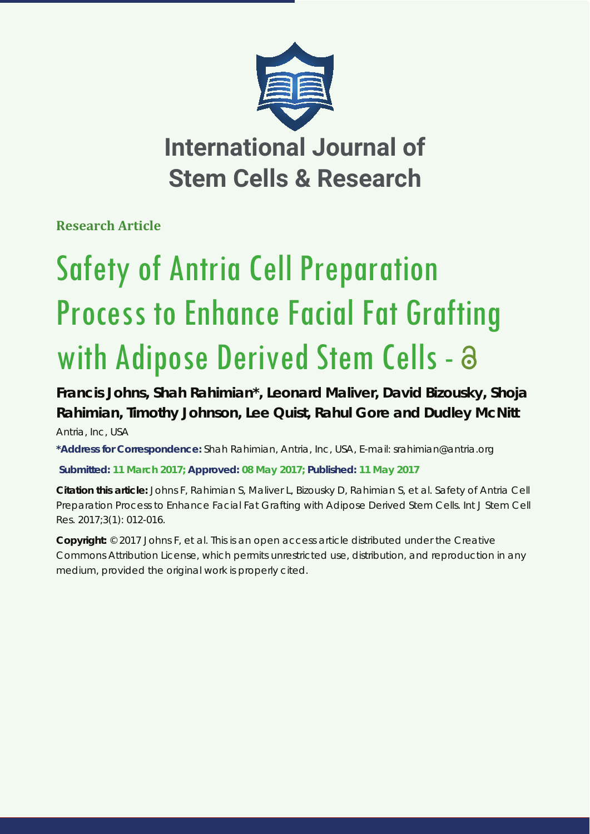

**Research Article** 

# Safety of Antria Cell Preparation Process to Enhance Facial Fat Grafting with Adipose Derived Stem Cells - a

## **Francis Johns, Shah Rahimian\*, Leonard Maliver, David Bizousky, Shoja Rahimian, Timothy Johnson, Lee Quist, Rahul Gore and Dudley McNitt** *Antria, Inc, USA*

**\*Address for Correspondence:** Shah Rahimian, Antria, Inc, USA, E-mail: srahimian@antria.org

**Submitted: 11 March 2017; Approved: 08 May 2017; Published: 11 May 2017**

**Citation this article:** Johns F, Rahimian S, Maliver L, Bizousky D, Rahimian S, et al. Safety of Antria Cell Preparation Process to Enhance Facial Fat Grafting with Adipose Derived Stem Cells. Int J Stem Cell Res. 2017;3(1): 012-016.

**Copyright:** © 2017 Johns F, et al. This is an open access article distributed under the Creative Commons Attribution License, which permits unrestricted use, distribution, and reproduction in any medium, provided the original work is properly cited.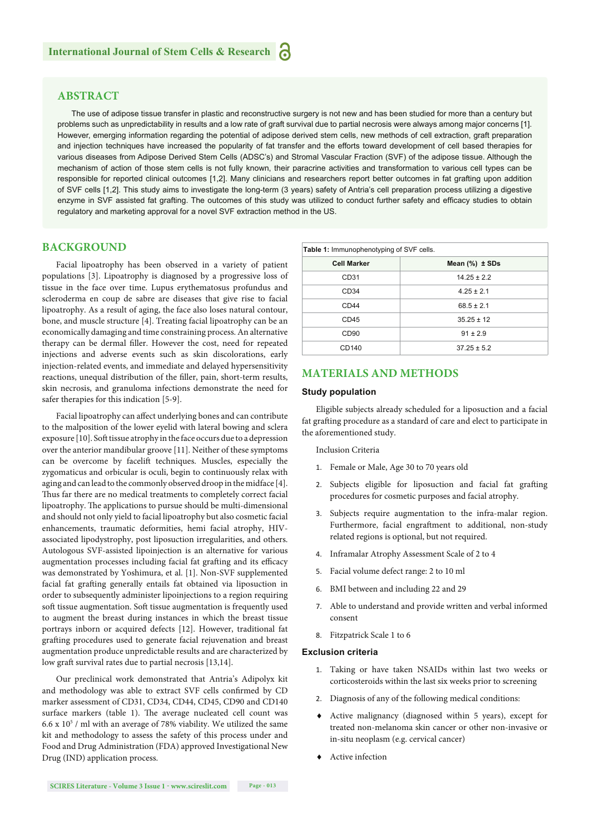## **ABSTRACT**

The use of adipose tissue transfer in plastic and reconstructive surgery is not new and has been studied for more than a century but problems such as unpredictability in results and a low rate of graft survival due to partial necrosis were always among major concerns [1]. However, emerging information regarding the potential of adipose derived stem cells, new methods of cell extraction, graft preparation and injection techniques have increased the popularity of fat transfer and the efforts toward development of cell based therapies for various diseases from Adipose Derived Stem Cells (ADSC's) and Stromal Vascular Fraction (SVF) of the adipose tissue. Although the mechanism of action of those stem cells is not fully known, their paracrine activities and transformation to various cell types can be responsible for reported clinical outcomes [1,2]. Many clinicians and researchers report better outcomes in fat grafting upon addition of SVF cells [1,2]. This study aims to investigate the long-term (3 years) safety of Antria's cell preparation process utilizing a digestive enzyme in SVF assisted fat grafting. The outcomes of this study was utilized to conduct further safety and efficacy studies to obtain regulatory and marketing approval for a novel SVF extraction method in the US.

## **BACKGROUND**

Facial lipoatrophy has been observed in a variety of patient populations [3]. Lipoatrophy is diagnosed by a progressive loss of tissue in the face over time. Lupus erythematosus profundus and scleroderma en coup de sabre are diseases that give rise to facial lipoatrophy. As a result of aging, the face also loses natural contour, bone, and muscle structure [4]. Treating facial lipoatrophy can be an economically damaging and time constraining process. An alternative therapy can be dermal filler. However the cost, need for repeated injections and adverse events such as skin discolorations, early injection-related events, and immediate and delayed hypersensitivity reactions, unequal distribution of the filler, pain, short-term results, skin necrosis, and granuloma infections demonstrate the need for safer therapies for this indication [5-9].

Facial lipoatrophy can affect underlying bones and can contribute to the malposition of the lower eyelid with lateral bowing and sclera exposure [10]. Soft tissue atrophy in the face occurs due to a depression over the anterior mandibular groove [11]. Neither of these symptoms can be overcome by facelift techniques. Muscles, especially the zygomaticus and orbicular is oculi, begin to continuously relax with aging and can lead to the commonly observed droop in the midface [4]. Thus far there are no medical treatments to completely correct facial lipoatrophy. The applications to pursue should be multi-dimensional and should not only yield to facial lipoatrophy but also cosmetic facial enhancements, traumatic deformities, hemi facial atrophy, HIVassociated lipodystrophy, post liposuction irregularities, and others. Autologous SVF-assisted lipoinjection is an alternative for various augmentation processes including facial fat grafting and its efficacy was demonstrated by Yoshimura, et al. [1]. Non-SVF supplemented facial fat grafting generally entails fat obtained via liposuction in order to subsequently administer lipoinjections to a region requiring soft tissue augmentation. Soft tissue augmentation is frequently used to augment the breast during instances in which the breast tissue portrays inborn or acquired defects [12]. However, traditional fat grafting procedures used to generate facial rejuvenation and breast augmentation produce unpredictable results and are characterized by low graft survival rates due to partial necrosis [13,14].

Our preclinical work demonstrated that Antria's Adipolyx kit and methodology was able to extract SVF cells confirmed by CD marker assessment of CD31, CD34, CD44, CD45, CD90 and CD140 surface markers (table 1). The average nucleated cell count was 6.6 x  $10^5$  / ml with an average of 78% viability. We utilized the same kit and methodology to assess the safety of this process under and Food and Drug Administration (FDA) approved Investigational New Drug (IND) application process.

| Table 1: Immunophenotyping of SVF cells. |                       |
|------------------------------------------|-----------------------|
| <b>Cell Marker</b>                       | Mean $(\%)$ $\pm$ SDs |
| CD <sub>31</sub>                         | $14.25 \pm 2.2$       |
| CD <sub>34</sub>                         | $4.25 \pm 2.1$        |
| CD44                                     | $68.5 \pm 2.1$        |
| CD45                                     | $35.25 \pm 12$        |
| CD <sub>90</sub>                         | $91 \pm 2.9$          |
| CD140                                    | $37.25 \pm 5.2$       |

## **MATERIALS AND METHODS**

#### **Study population**

Eligible subjects already scheduled for a liposuction and a facial fat grafting procedure as a standard of care and elect to participate in the aforementioned study.

Inclusion Criteria

- 1. Female or Male, Age 30 to 70 years old
- 2. Subjects eligible for liposuction and facial fat grafting procedures for cosmetic purposes and facial atrophy.
- 3. Subjects require augmentation to the infra-malar region. Furthermore, facial engraftment to additional, non-study related regions is optional, but not required.
- 4. Inframalar Atrophy Assessment Scale of 2 to 4
- 5. Facial volume defect range: 2 to 10 ml
- 6. BMI between and including 22 and 29
- 7. Able to understand and provide written and verbal informed consent
- 8. Fitzpatrick Scale 1 to 6

#### **Exclusion criteria**

- 1. Taking or have taken NSAIDs within last two weeks or corticosteroids within the last six weeks prior to screening
- 2. Diagnosis of any of the following medical conditions:
- Active malignancy (diagnosed within 5 years), except for treated non-melanoma skin cancer or other non-invasive or in-situ neoplasm (e.g. cervical cancer)
- Active infection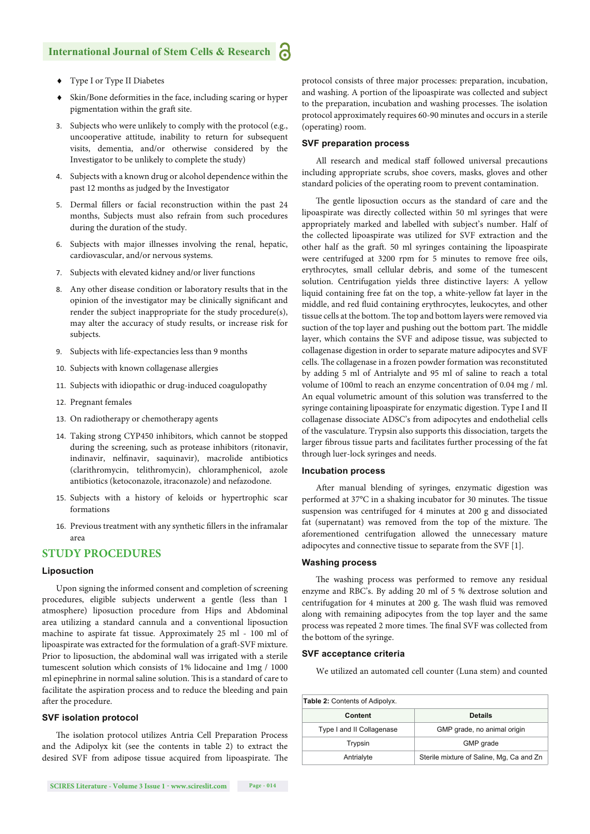## **International Journal of Stem Cells & Research**

- Type I or Type II Diabetes
- Skin/Bone deformities in the face, including scaring or hyper pigmentation within the graft site.
- 3. Subjects who were unlikely to comply with the protocol (e.g., uncooperative attitude, inability to return for subsequent visits, dementia, and/or otherwise considered by the Investigator to be unlikely to complete the study)
- 4. Subjects with a known drug or alcohol dependence within the past 12 months as judged by the Investigator
- 5. Dermal fillers or facial reconstruction within the past 24 months, Subjects must also refrain from such procedures during the duration of the study.
- 6. Subjects with major illnesses involving the renal, hepatic, cardiovascular, and/or nervous systems.
- 7. Subjects with elevated kidney and/or liver functions
- 8. Any other disease condition or laboratory results that in the opinion of the investigator may be clinically significant and render the subject inappropriate for the study procedure(s), may alter the accuracy of study results, or increase risk for subjects.
- 9. Subjects with life-expectancies less than 9 months
- 10. Subjects with known collagenase allergies
- 11. Subjects with idiopathic or drug-induced coagulopathy
- 12. Pregnant females
- 13. On radiotherapy or chemotherapy agents
- 14. Taking strong CYP450 inhibitors, which cannot be stopped during the screening, such as protease inhibitors (ritonavir, indinavir, nelfinavir, saquinavir), macrolide antibiotics (clarithromycin, telithromycin), chloramphenicol, azole antibiotics (ketoconazole, itraconazole) and nefazodone.
- 15. Subjects with a history of keloids or hypertrophic scar formations
- 16. Previous treatment with any synthetic fillers in the inframalar area

## **STUDY PROCEDURES**

## **Liposuction**

Upon signing the informed consent and completion of screening procedures, eligible subjects underwent a gentle (less than 1 atmosphere) liposuction procedure from Hips and Abdominal area utilizing a standard cannula and a conventional liposuction machine to aspirate fat tissue. Approximately 25 ml - 100 ml of lipoaspirate was extracted for the formulation of a graft -SVF mixture. Prior to liposuction, the abdominal wall was irrigated with a sterile tumescent solution which consists of 1% lidocaine and 1mg / 1000 ml epinephrine in normal saline solution. This is a standard of care to facilitate the aspiration process and to reduce the bleeding and pain after the procedure.

## **SVF isolation protocol**

The isolation protocol utilizes Antria Cell Preparation Process and the Adipolyx kit (see the contents in table 2) to extract the desired SVF from adipose tissue acquired from lipoaspirate. The protocol consists of three major processes: preparation, incubation, and washing. A portion of the lipoaspirate was collected and subject to the preparation, incubation and washing processes. The isolation protocol approximately requires 60-90 minutes and occurs in a sterile (operating) room.

#### **SVF preparation process**

All research and medical staff followed universal precautions including appropriate scrubs, shoe covers, masks, gloves and other standard policies of the operating room to prevent contamination.

The gentle liposuction occurs as the standard of care and the lipoaspirate was directly collected within 50 ml syringes that were appropriately marked and labelled with subject's number. Half of the collected lipoaspirate was utilized for SVF extraction and the other half as the graft. 50 ml syringes containing the lipoaspirate were centrifuged at 3200 rpm for 5 minutes to remove free oils, erythrocytes, small cellular debris, and some of the tumescent solution. Centrifugation yields three distinctive layers: A yellow liquid containing free fat on the top, a white-yellow fat layer in the middle, and red fluid containing erythrocytes, leukocytes, and other tissue cells at the bottom. The top and bottom layers were removed via suction of the top layer and pushing out the bottom part. The middle layer, which contains the SVF and adipose tissue, was subjected to collagenase digestion in order to separate mature adipocytes and SVF cells. The collagenase in a frozen powder formation was reconstituted by adding 5 ml of Antrialyte and 95 ml of saline to reach a total volume of 100ml to reach an enzyme concentration of 0.04 mg / ml. An equal volumetric amount of this solution was transferred to the syringe containing lipoaspirate for enzymatic digestion. Type I and II collagenase dissociate ADSC's from adipocytes and endothelial cells of the vasculature. Trypsin also supports this dissociation, targets the larger fibrous tissue parts and facilitates further processing of the fat through luer-lock syringes and needs.

#### **Incubation process**

After manual blending of syringes, enzymatic digestion was performed at 37°C in a shaking incubator for 30 minutes. The tissue suspension was centrifuged for 4 minutes at 200 g and dissociated fat (supernatant) was removed from the top of the mixture. The aforementioned centrifugation allowed the unnecessary mature adipocytes and connective tissue to separate from the SVF [1].

#### **Washing process**

The washing process was performed to remove any residual enzyme and RBC's. By adding 20 ml of 5 % dextrose solution and centrifugation for 4 minutes at 200 g. The wash fluid was removed along with remaining adipocytes from the top layer and the same process was repeated 2 more times. The final SVF was collected from the bottom of the syringe.

#### **SVF acceptance criteria**

We utilized an automated cell counter (Luna stem) and counted

| <b>Table 2: Contents of Adipolyx.</b> |                                          |  |
|---------------------------------------|------------------------------------------|--|
| Content                               | <b>Details</b>                           |  |
| Type I and II Collagenase             | GMP grade, no animal origin              |  |
| Trypsin                               | GMP grade                                |  |
| Antrialyte                            | Sterile mixture of Saline, Mg, Ca and Zn |  |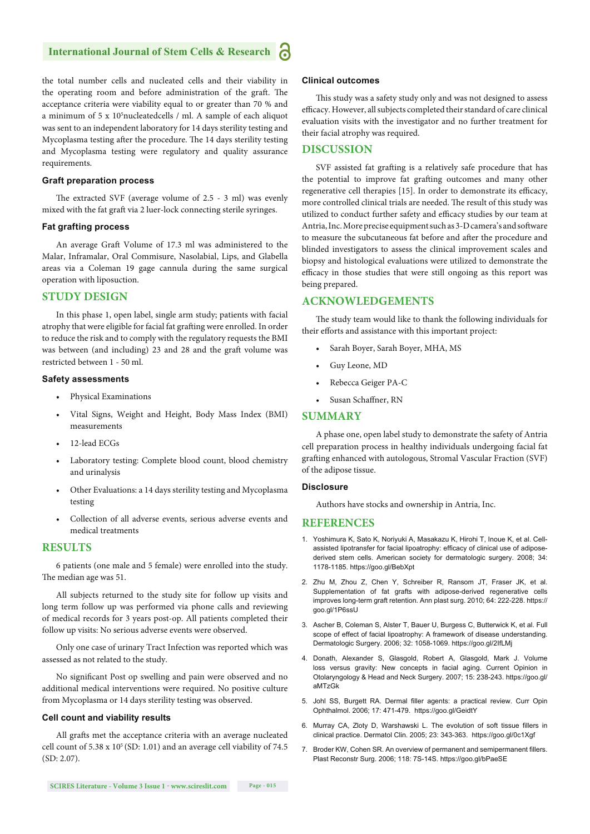## **International Journal of Stem Cells & Research**

the total number cells and nucleated cells and their viability in the operating room and before administration of the graft. The acceptance criteria were viability equal to or greater than 70 % and a minimum of 5 x 10<sup>5</sup>nucleatedcells / ml. A sample of each aliquot was sent to an independent laboratory for 14 days sterility testing and Mycoplasma testing after the procedure. The 14 days sterility testing and Mycoplasma testing were regulatory and quality assurance requirements.

#### **Graft preparation process**

The extracted SVF (average volume of  $2.5 - 3$  ml) was evenly mixed with the fat graft via 2 luer-lock connecting sterile syringes.

#### **Fat grafting process**

An average Graft Volume of 17.3 ml was administered to the Malar, Inframalar, Oral Commisure, Nasolabial, Lips, and Glabella areas via a Coleman 19 gage cannula during the same surgical operation with liposuction.

## **STUDY DESIGN**

In this phase 1, open label, single arm study; patients with facial atrophy that were eligible for facial fat grafting were enrolled. In order to reduce the risk and to comply with the regulatory requests the BMI was between (and including) 23 and 28 and the graft volume was restricted between 1 - 50 ml.

#### **Safety assessments**

- Physical Examinations
- Vital Signs, Weight and Height, Body Mass Index (BMI) measurements
- 12-lead ECGs
- Laboratory testing: Complete blood count, blood chemistry and urinalysis
- Other Evaluations: a 14 days sterility testing and Mycoplasma testing
- Collection of all adverse events, serious adverse events and medical treatments

## **RESULTS**

6 patients (one male and 5 female) were enrolled into the study. The median age was 51.

All subjects returned to the study site for follow up visits and long term follow up was performed via phone calls and reviewing of medical records for 3 years post-op. All patients completed their follow up visits: No serious adverse events were observed.

Only one case of urinary Tract Infection was reported which was assessed as not related to the study.

No significant Post op swelling and pain were observed and no additional medical interventions were required. No positive culture from Mycoplasma or 14 days sterility testing was observed.

#### **Cell count and viability results**

All grafts met the acceptance criteria with an average nucleated cell count of 5.38 x  $10^5$  (SD: 1.01) and an average cell viability of 74.5 (SD: 2.07).

## **Clinical outcomes**

This study was a safety study only and was not designed to assess efficacy. However, all subjects completed their standard of care clinical evaluation visits with the investigator and no further treatment for their facial atrophy was required.

## **DISCUSSION**

SVF assisted fat grafting is a relatively safe procedure that has the potential to improve fat grafting outcomes and many other regenerative cell therapies [15]. In order to demonstrate its efficacy, more controlled clinical trials are needed. The result of this study was utilized to conduct further safety and efficacy studies by our team at Antria, Inc. More precise equipment such as 3-D camera's and software to measure the subcutaneous fat before and after the procedure and blinded investigators to assess the clinical improvement scales and biopsy and histological evaluations were utilized to demonstrate the efficacy in those studies that were still ongoing as this report was being prepared.

## **ACKNOWLEDGEMENTS**

The study team would like to thank the following individuals for their efforts and assistance with this important project:

- Sarah Boyer, Sarah Boyer, MHA, MS
- Guy Leone, MD
- Rebecca Geiger PA-C
- Susan Schaffner, RN

## **SUMMARY**

A phase one, open label study to demonstrate the safety of Antria cell preparation process in healthy individuals undergoing facial fat grafting enhanced with autologous, Stromal Vascular Fraction (SVF) of the adipose tissue.

## **Disclosure**

Authors have stocks and ownership in Antria, Inc.

#### **REFERENCES**

- 1. Yoshimura K, Sato K, Noriyuki A, Masakazu K, Hirohi T, Inoue K, et al. Cellassisted lipotransfer for facial lipoatrophy: efficacy of clinical use of adiposederived stem cells. American society for dermatologic surgery. 2008; 34: 1178-1185. https://goo.gl/BebXpt
- 2. Zhu M, Zhou Z, Chen Y, Schreiber R, Ransom JT, Fraser JK, et al. Supplementation of fat grafts with adipose-derived regenerative cells improves long-term graft retention. Ann plast surg. 2010; 64: 222-228. https:// goo.gl/1P6ssU
- 3. Ascher B, Coleman S, Alster T, Bauer U, Burgess C, Butterwick K, et al. Full scope of effect of facial lipoatrophy: A framework of disease understanding. Dermatologic Surgery. 2006; 32: 1058-1069. https://goo.gl/2IfLMj
- 4. Donath, Alexander S, Glasgold, Robert A, Glasgold, Mark J. Volume loss versus gravity: New concepts in facial aging. Current Opinion in Otolaryngology & Head and Neck Surgery. 2007; 15: 238-243. https://goo.gl/ aMTzGk
- 5. Johl SS, Burgett RA. Dermal filler agents: a practical review. Curr Opin Ophthalmol. 2006; 17: 471-479. https://goo.gl/GeidtY
- 6. Murray CA, Zloty D, Warshawski L. The evolution of soft tissue fillers in clinical practice. Dermatol Clin. 2005; 23: 343-363. https://goo.gl/0c1Xgf
- 7. Broder KW, Cohen SR. An overview of permanent and semipermanent fillers. Plast Reconstr Surg. 2006; 118: 7S-14S. https://goo.gl/bPaeSE